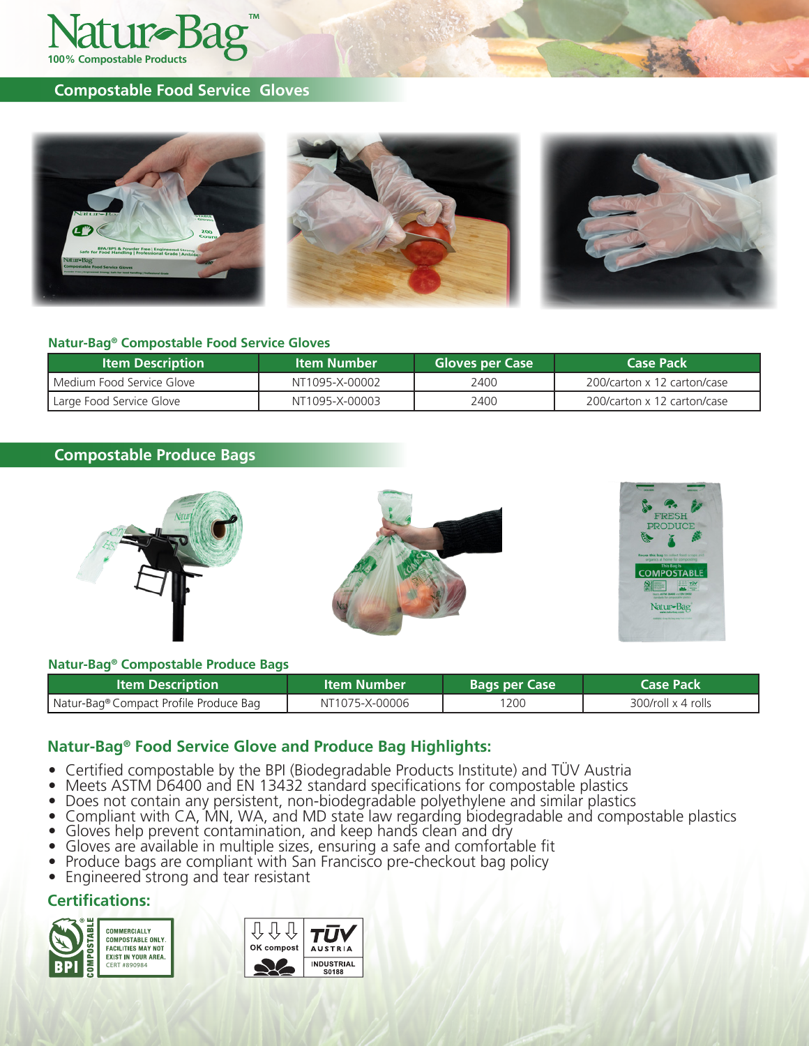

## **Compostable Food Service Gloves**



### **Natur-Bag® Compostable Food Service Gloves**

| <b>Item Description</b>   | ltem Number    | <b>Gloves per Case</b> | <b>Case Pack</b>            |  |
|---------------------------|----------------|------------------------|-----------------------------|--|
| Medium Food Service Glove | NT1095-X-00002 | 2400                   | 200/carton x 12 carton/case |  |
| Large Food Service Glove  | NT1095-X-00003 | 2400                   | 200/carton x 12 carton/case |  |

## **Compostable Produce Bags**



### **Natur-Bag® Compostable Produce Bags**

| ltem Description                       | <b>Item Number</b> | <b>Bags per Case</b> | <b>Case Pack</b>   |
|----------------------------------------|--------------------|----------------------|--------------------|
| Natur-Bag® Compact Profile Produce Bag | NT1075-X-00006     | 1200                 | 300/roll x 4 rolls |

## **Natur-Bag® Food Service Glove and Produce Bag Highlights:**

- 
- 
- 
- Certified compostable by the BPI (Biodegradable Products Institute) and TÜV Austria<br>
Meets ASTM D6400 and EN 13432 standard specifications for compostable plastics<br>
Does not contain any persistent, non-biodegradable
- 
- 
- 
- 

## **Certifications:**